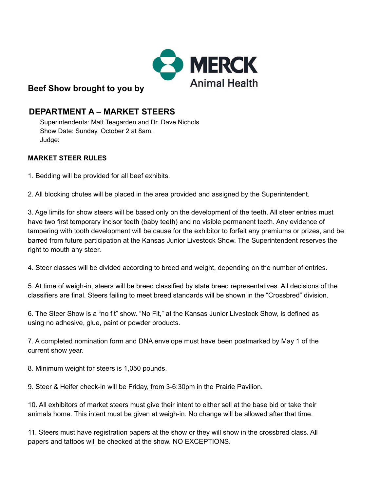

# **Beef Show brought to you by**

# **DEPARTMENT A – MARKET STEERS**

Superintendents: Matt Teagarden and Dr. Dave Nichols Show Date: Sunday, October 2 at 8am. Judge:

## **MARKET STEER RULES**

1. Bedding will be provided for all beef exhibits.

2. All blocking chutes will be placed in the area provided and assigned by the Superintendent.

3. Age limits for show steers will be based only on the development of the teeth. All steer entries must have two first temporary incisor teeth (baby teeth) and no visible permanent teeth. Any evidence of tampering with tooth development will be cause for the exhibitor to forfeit any premiums or prizes, and be barred from future participation at the Kansas Junior Livestock Show. The Superintendent reserves the right to mouth any steer.

4. Steer classes will be divided according to breed and weight, depending on the number of entries.

5. At time of weigh-in, steers will be breed classified by state breed representatives. All decisions of the classifiers are final. Steers failing to meet breed standards will be shown in the "Crossbred" division.

6. The Steer Show is a "no fit" show. "No Fit," at the Kansas Junior Livestock Show, is defined as using no adhesive, glue, paint or powder products.

7. A completed nomination form and DNA envelope must have been postmarked by May 1 of the current show year.

8. Minimum weight for steers is 1,050 pounds.

9. Steer & Heifer check-in will be Friday, from 3-6:30pm in the Prairie Pavilion.

10. All exhibitors of market steers must give their intent to either sell at the base bid or take their animals home. This intent must be given at weigh-in. No change will be allowed after that time.

11. Steers must have registration papers at the show or they will show in the crossbred class. All papers and tattoos will be checked at the show. NO EXCEPTIONS.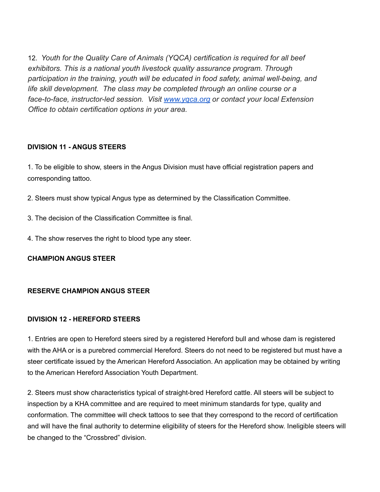12. *Youth for the Quality Care of Animals (YQCA) certification is required for all beef exhibitors. This is a national youth livestock quality assurance program. Through participation in the training, youth will be educated in food safety, animal well-being, and life skill development. The class may be completed through an online course or a face-to-face, instructor-led session. Visit [www.yqca.org](http://www.yqca.org/) or contact your local Extension Office to obtain certification options in your area.*

## **DIVISION 11 - ANGUS STEERS**

1. To be eligible to show, steers in the Angus Division must have official registration papers and corresponding tattoo.

2. Steers must show typical Angus type as determined by the Classification Committee.

- 3. The decision of the Classification Committee is final.
- 4. The show reserves the right to blood type any steer.

**CHAMPION ANGUS STEER**

## **RESERVE CHAMPION ANGUS STEER**

## **DIVISION 12 - HEREFORD STEERS**

1. Entries are open to Hereford steers sired by a registered Hereford bull and whose dam is registered with the AHA or is a purebred commercial Hereford. Steers do not need to be registered but must have a steer certificate issued by the American Hereford Association. An application may be obtained by writing to the American Hereford Association Youth Department.

2. Steers must show characteristics typical of straight-bred Hereford cattle. All steers will be subject to inspection by a KHA committee and are required to meet minimum standards for type, quality and conformation. The committee will check tattoos to see that they correspond to the record of certification and will have the final authority to determine eligibility of steers for the Hereford show. Ineligible steers will be changed to the "Crossbred" division.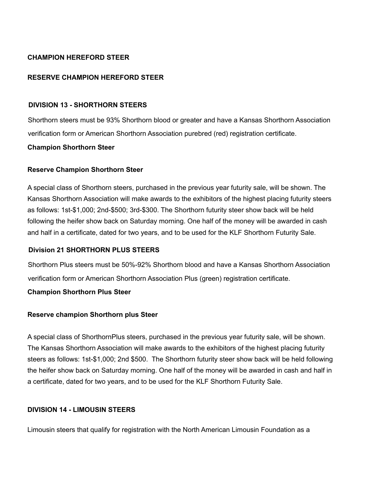## **CHAMPION HEREFORD STEER**

## **RESERVE CHAMPION HEREFORD STEER**

#### **DIVISION 13 - SHORTHORN STEERS**

Shorthorn steers must be 93% Shorthorn blood or greater and have a Kansas Shorthorn Association verification form or American Shorthorn Association purebred (red) registration certificate.

### **Champion Shorthorn Steer**

### **Reserve Champion Shorthorn Steer**

A special class of Shorthorn steers, purchased in the previous year futurity sale, will be shown. The Kansas Shorthorn Association will make awards to the exhibitors of the highest placing futurity steers as follows: 1st-\$1,000; 2nd-\$500; 3rd-\$300. The Shorthorn futurity steer show back will be held following the heifer show back on Saturday morning. One half of the money will be awarded in cash and half in a certificate, dated for two years, and to be used for the KLF Shorthorn Futurity Sale.

### **Division 21 SHORTHORN PLUS STEERS**

Shorthorn Plus steers must be 50%-92% Shorthorn blood and have a Kansas Shorthorn Association verification form or American Shorthorn Association Plus (green) registration certificate.

### **Champion Shorthorn Plus Steer**

### **Reserve champion Shorthorn plus Steer**

A special class of ShorthornPlus steers, purchased in the previous year futurity sale, will be shown. The Kansas Shorthorn Association will make awards to the exhibitors of the highest placing futurity steers as follows: 1st-\$1,000; 2nd \$500. The Shorthorn futurity steer show back will be held following the heifer show back on Saturday morning. One half of the money will be awarded in cash and half in a certificate, dated for two years, and to be used for the KLF Shorthorn Futurity Sale.

### **DIVISION 14 - LIMOUSIN STEERS**

Limousin steers that qualify for registration with the North American Limousin Foundation as a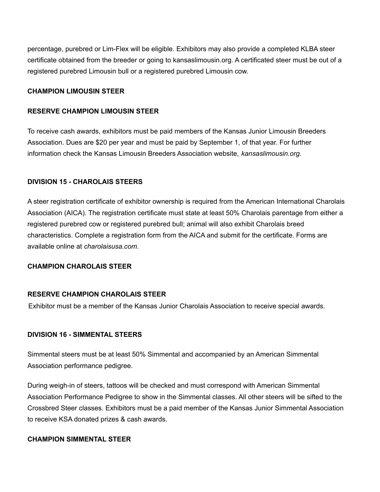percentage, purebred or Lim-Flex will be eligible. Exhibitors may also provide a completed KLBA steer certificate obtained from the breeder or going to kansaslimousin.org. A certificated steer must be out of a registered purebred Limousin bull or a registered purebred Limousin cow.

### **CHAMPION LIMOUSIN STEER**

#### **RESERVE CHAMPION LIMOUSIN STEER**

To receive cash awards, exhibitors must be paid members of the Kansas Junior Limousin Breeders Association. Dues are \$20 per year and must be paid by September 1, of that year. For further information check the Kansas Limousin Breeders Association website, *kansaslimousin.org.*

### **DIVISION 15 - CHAROLAIS STEERS**

A steer registration certificate of exhibitor ownership is required from the American International Charolais Association (AICA). The registration certificate must state at least 50% Charolais parentage from either a registered purebred cow or registered purebred bull; animal will also exhibit Charolais breed characteristics. Complete a registration form from the AICA and submit for the certificate. Forms are available online at *charolaisusa.com.*

### **CHAMPION CHAROLAIS STEER**

### **RESERVE CHAMPION CHAROLAIS STEER**

Exhibitor must be a member of the Kansas Junior Charolais Association to receive special awards.

### **DIVISION 16 - SIMMENTAL STEERS**

Simmental steers must be at least 50% Simmental and accompanied by an American Simmental Association performance pedigree.

During weigh-in of steers, tattoos will be checked and must correspond with American Simmental Association Performance Pedigree to show in the Simmental classes. All other steers will be sifted to the Crossbred Steer classes. Exhibitors must be a paid member of the Kansas Junior Simmental Association to receive KSA donated prizes & cash awards.

#### **CHAMPION SIMMENTAL STEER**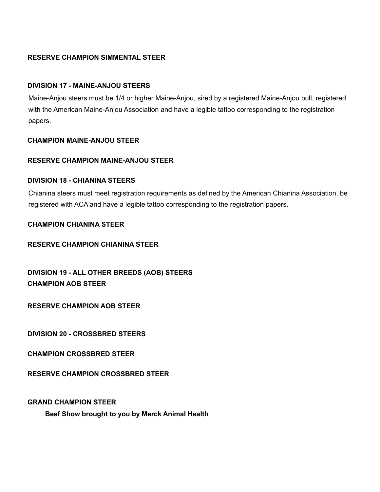## **RESERVE CHAMPION SIMMENTAL STEER**

### **DIVISION 17 - MAINE-ANJOU STEERS**

Maine-Anjou steers must be 1/4 or higher Maine-Anjou, sired by a registered Maine-Anjou bull, registered with the American Maine-Anjou Association and have a legible tattoo corresponding to the registration papers.

## **CHAMPION MAINE-ANJOU STEER**

#### **RESERVE CHAMPION MAINE-ANJOU STEER**

#### **DIVISION 18 - CHIANINA STEERS**

Chianina steers must meet registration requirements as defined by the American Chianina Association, be registered with ACA and have a legible tattoo corresponding to the registration papers.

#### **CHAMPION CHIANINA STEER**

#### **RESERVE CHAMPION CHIANINA STEER**

**DIVISION 19 - ALL OTHER BREEDS (AOB) STEERS CHAMPION AOB STEER**

**RESERVE CHAMPION AOB STEER**

**DIVISION 20 - CROSSBRED STEERS**

**CHAMPION CROSSBRED STEER**

**RESERVE CHAMPION CROSSBRED STEER**

**GRAND CHAMPION STEER**

**Beef Show brought to you by Merck Animal Health**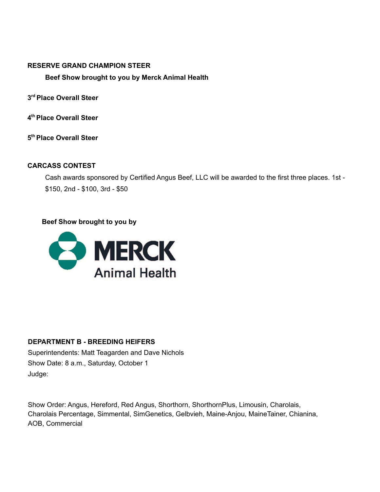#### **RESERVE GRAND CHAMPION STEER**

## **Beef Show brought to you by Merck Animal Health**

**3 rd Place Overall Steer**

**4 th Place Overall Steer**

**5 th Place Overall Steer**

## **CARCASS CONTEST**

Cash awards sponsored by Certified Angus Beef, LLC will be awarded to the first three places. 1st - \$150, 2nd - \$100, 3rd - \$50

## **Beef Show brought to you by**



## **DEPARTMENT B - BREEDING HEIFERS**

Superintendents: Matt Teagarden and Dave Nichols Show Date: 8 a.m., Saturday, October 1 Judge:

Show Order: Angus, Hereford, Red Angus, Shorthorn, ShorthornPlus, Limousin, Charolais, Charolais Percentage, Simmental, SimGenetics, Gelbvieh, Maine-Anjou, MaineTainer, Chianina, AOB, Commercial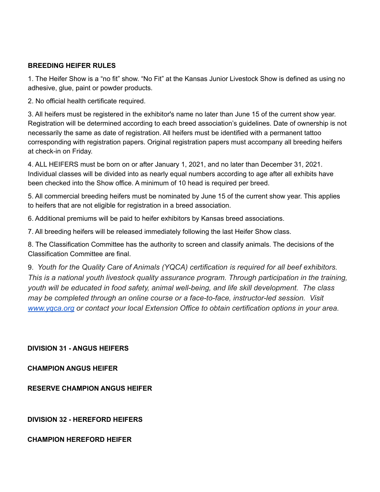## **BREEDING HEIFER RULES**

1. The Heifer Show is a "no fit" show. "No Fit" at the Kansas Junior Livestock Show is defined as using no adhesive, glue, paint or powder products.

2. No official health certificate required.

3. All heifers must be registered in the exhibitor's name no later than June 15 of the current show year. Registration will be determined according to each breed association's guidelines. Date of ownership is not necessarily the same as date of registration. All heifers must be identified with a permanent tattoo corresponding with registration papers. Original registration papers must accompany all breeding heifers at check-in on Friday.

4. ALL HEIFERS must be born on or after January 1, 2021, and no later than December 31, 2021. Individual classes will be divided into as nearly equal numbers according to age after all exhibits have been checked into the Show office. A minimum of 10 head is required per breed.

5. All commercial breeding heifers must be nominated by June 15 of the current show year. This applies to heifers that are not eligible for registration in a breed association.

6. Additional premiums will be paid to heifer exhibitors by Kansas breed associations.

7. All breeding heifers will be released immediately following the last Heifer Show class.

8. The Classification Committee has the authority to screen and classify animals. The decisions of the Classification Committee are final.

9. *Youth for the Quality Care of Animals (YQCA) certification is required for all beef exhibitors. This is a national youth livestock quality assurance program. Through participation in the training, youth will be educated in food safety, animal well-being, and life skill development. The class may be completed through an online course or a face-to-face, instructor-led session. Visi[t](http://www.yqca.org/) [www.yqca.org](http://www.yqca.org/) or contact your local Extension Office to obtain certification options in your area.*

**DIVISION 31 - ANGUS HEIFERS**

**CHAMPION ANGUS HEIFER**

**RESERVE CHAMPION ANGUS HEIFER**

**DIVISION 32 - HEREFORD HEIFERS**

**CHAMPION HEREFORD HEIFER**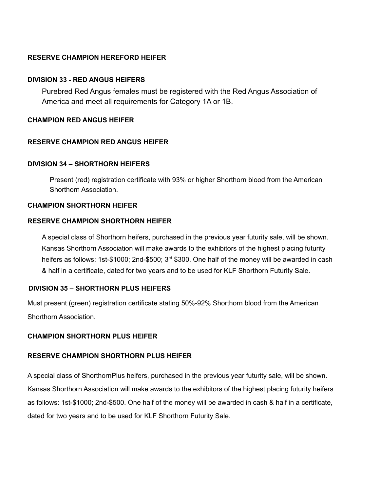## **RESERVE CHAMPION HEREFORD HEIFER**

### **DIVISION 33 - RED ANGUS HEIFERS**

Purebred Red Angus females must be registered with the Red Angus Association of America and meet all requirements for Category 1A or 1B.

## **CHAMPION RED ANGUS HEIFER**

## **RESERVE CHAMPION RED ANGUS HEIFER**

### **DIVISION 34 – SHORTHORN HEIFERS**

Present (red) registration certificate with 93% or higher Shorthorn blood from the American Shorthorn Association.

### **CHAMPION SHORTHORN HEIFER**

#### **RESERVE CHAMPION SHORTHORN HEIFER**

A special class of Shorthorn heifers, purchased in the previous year futurity sale, will be shown. Kansas Shorthorn Association will make awards to the exhibitors of the highest placing futurity heifers as follows: 1st-\$1000; 2nd-\$500; 3<sup>rd</sup> \$300. One half of the money will be awarded in cash & half in a certificate, dated for two years and to be used for KLF Shorthorn Futurity Sale.

### **DIVISION 35 – SHORTHORN PLUS HEIFERS**

Must present (green) registration certificate stating 50%-92% Shorthorn blood from the American Shorthorn Association.

### **CHAMPION SHORTHORN PLUS HEIFER**

### **RESERVE CHAMPION SHORTHORN PLUS HEIFER**

A special class of ShorthornPlus heifers, purchased in the previous year futurity sale, will be shown. Kansas Shorthorn Association will make awards to the exhibitors of the highest placing futurity heifers as follows: 1st-\$1000; 2nd-\$500. One half of the money will be awarded in cash & half in a certificate, dated for two years and to be used for KLF Shorthorn Futurity Sale.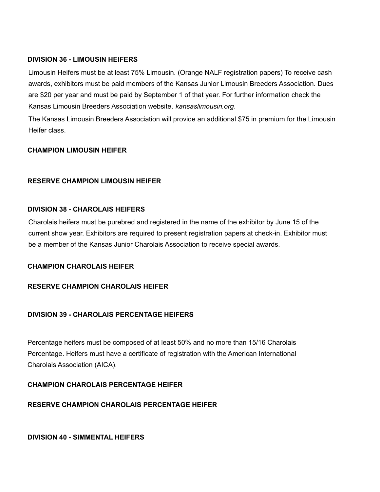## **DIVISION 36 - LIMOUSIN HEIFERS**

Limousin Heifers must be at least 75% Limousin. (Orange NALF registration papers) To receive cash awards, exhibitors must be paid members of the Kansas Junior Limousin Breeders Association. Dues are \$20 per year and must be paid by September 1 of that year. For further information check the Kansas Limousin Breeders Association website, *kansaslimousin.org*.

The Kansas Limousin Breeders Association will provide an additional \$75 in premium for the Limousin Heifer class.

## **CHAMPION LIMOUSIN HEIFER**

## **RESERVE CHAMPION LIMOUSIN HEIFER**

### **DIVISION 38 - CHAROLAIS HEIFERS**

Charolais heifers must be purebred and registered in the name of the exhibitor by June 15 of the current show year. Exhibitors are required to present registration papers at check-in. Exhibitor must be a member of the Kansas Junior Charolais Association to receive special awards.

### **CHAMPION CHAROLAIS HEIFER**

### **RESERVE CHAMPION CHAROLAIS HEIFER**

## **DIVISION 39 - CHAROLAIS PERCENTAGE HEIFERS**

Percentage heifers must be composed of at least 50% and no more than 15/16 Charolais Percentage. Heifers must have a certificate of registration with the American International Charolais Association (AICA).

### **CHAMPION CHAROLAIS PERCENTAGE HEIFER**

## **RESERVE CHAMPION CHAROLAIS PERCENTAGE HEIFER**

**DIVISION 40 - SIMMENTAL HEIFERS**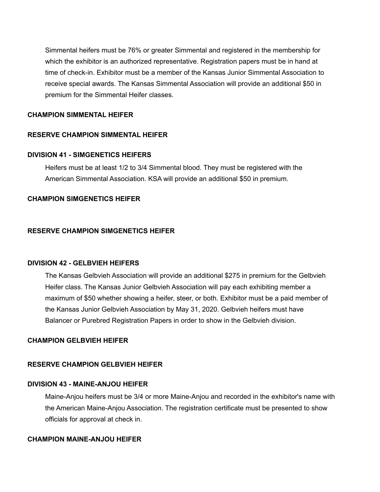Simmental heifers must be 76% or greater Simmental and registered in the membership for which the exhibitor is an authorized representative. Registration papers must be in hand at time of check-in. Exhibitor must be a member of the Kansas Junior Simmental Association to receive special awards. The Kansas Simmental Association will provide an additional \$50 in premium for the Simmental Heifer classes.

#### **CHAMPION SIMMENTAL HEIFER**

#### **RESERVE CHAMPION SIMMENTAL HEIFER**

#### **DIVISION 41 - SIMGENETICS HEIFERS**

Heifers must be at least 1/2 to 3/4 Simmental blood. They must be registered with the American Simmental Association. KSA will provide an additional \$50 in premium.

#### **CHAMPION SIMGENETICS HEIFER**

#### **RESERVE CHAMPION SIMGENETICS HEIFER**

#### **DIVISION 42 - GELBVIEH HEIFERS**

The Kansas Gelbvieh Association will provide an additional \$275 in premium for the Gelbvieh Heifer class. The Kansas Junior Gelbvieh Association will pay each exhibiting member a maximum of \$50 whether showing a heifer, steer, or both. Exhibitor must be a paid member of the Kansas Junior Gelbvieh Association by May 31, 2020. Gelbvieh heifers must have Balancer or Purebred Registration Papers in order to show in the Gelbvieh division.

#### **CHAMPION GELBVIEH HEIFER**

#### **RESERVE CHAMPION GELBVIEH HEIFER**

#### **DIVISION 43 - MAINE-ANJOU HEIFER**

Maine-Anjou heifers must be 3/4 or more Maine-Anjou and recorded in the exhibitor's name with the American Maine-Anjou Association. The registration certificate must be presented to show officials for approval at check in.

#### **CHAMPION MAINE-ANJOU HEIFER**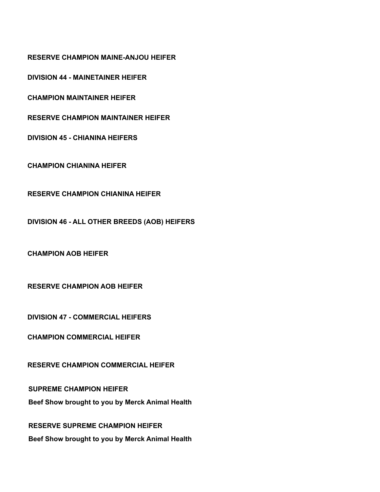**RESERVE CHAMPION MAINE-ANJOU HEIFER**

**DIVISION 44 - MAINETAINER HEIFER**

**CHAMPION MAINTAINER HEIFER**

**RESERVE CHAMPION MAINTAINER HEIFER**

**DIVISION 45 - CHIANINA HEIFERS**

**CHAMPION CHIANINA HEIFER**

**RESERVE CHAMPION CHIANINA HEIFER**

**DIVISION 46 - ALL OTHER BREEDS (AOB) HEIFERS**

**CHAMPION AOB HEIFER**

**RESERVE CHAMPION AOB HEIFER**

**DIVISION 47 - COMMERCIAL HEIFERS**

**CHAMPION COMMERCIAL HEIFER**

**RESERVE CHAMPION COMMERCIAL HEIFER**

**SUPREME CHAMPION HEIFER Beef Show brought to you by Merck Animal Health**

**RESERVE SUPREME CHAMPION HEIFER Beef Show brought to you by Merck Animal Health**